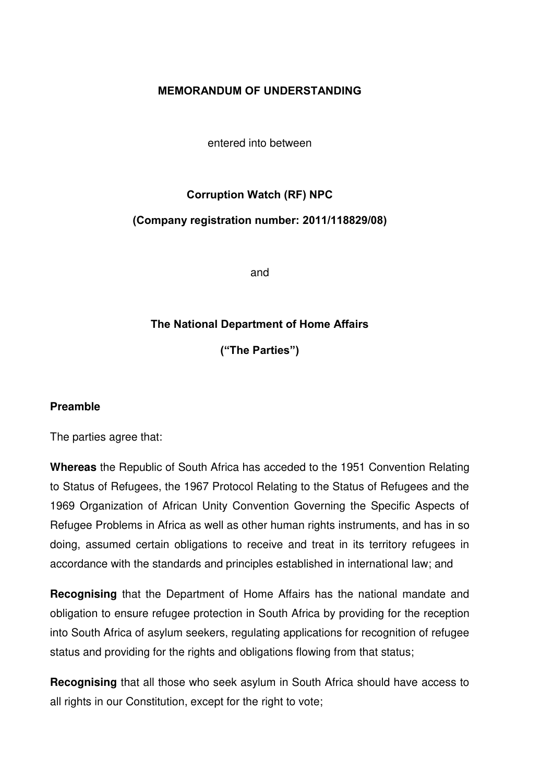## **MEMORANDUM OF UNDERSTANDING**

entered into between

# **Corruption Watch (RF) NPC**

#### **(Company registration number: 2011/118829/08)**

and

## **The National Department of Home Affairs**

**("The Parties")**

#### **Preamble**

The parties agree that:

**Whereas** the Republic of South Africa has acceded to the 1951 Convention Relating to Status of Refugees, the 1967 Protocol Relating to the Status of Refugees and the 1969 Organization of African Unity Convention Governing the Specific Aspects of Refugee Problems in Africa as well as other human rights instruments, and has in so doing, assumed certain obligations to receive and treat in its territory refugees in accordance with the standards and principles established in international law; and

**Recognising** that the Department of Home Affairs has the national mandate and obligation to ensure refugee protection in South Africa by providing for the reception into South Africa of asylum seekers, regulating applications for recognition of refugee status and providing for the rights and obligations flowing from that status;

**Recognising** that all those who seek asylum in South Africa should have access to all rights in our Constitution, except for the right to vote;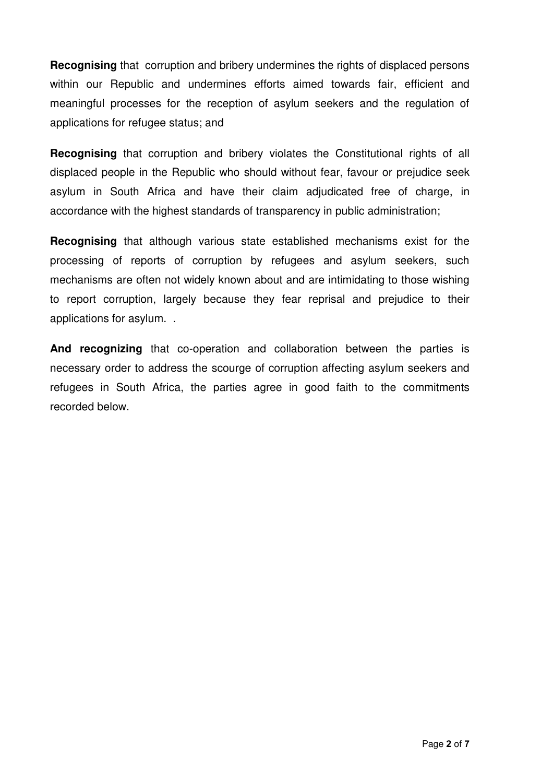**Recognising** that corruption and bribery undermines the rights of displaced persons within our Republic and undermines efforts aimed towards fair, efficient and meaningful processes for the reception of asylum seekers and the regulation of applications for refugee status; and

**Recognising** that corruption and bribery violates the Constitutional rights of all displaced people in the Republic who should without fear, favour or prejudice seek asylum in South Africa and have their claim adjudicated free of charge, in accordance with the highest standards of transparency in public administration;

**Recognising** that although various state established mechanisms exist for the processing of reports of corruption by refugees and asylum seekers, such mechanisms are often not widely known about and are intimidating to those wishing to report corruption, largely because they fear reprisal and prejudice to their applications for asylum. .

**And recognizing** that co-operation and collaboration between the parties is necessary order to address the scourge of corruption affecting asylum seekers and refugees in South Africa, the parties agree in good faith to the commitments recorded below.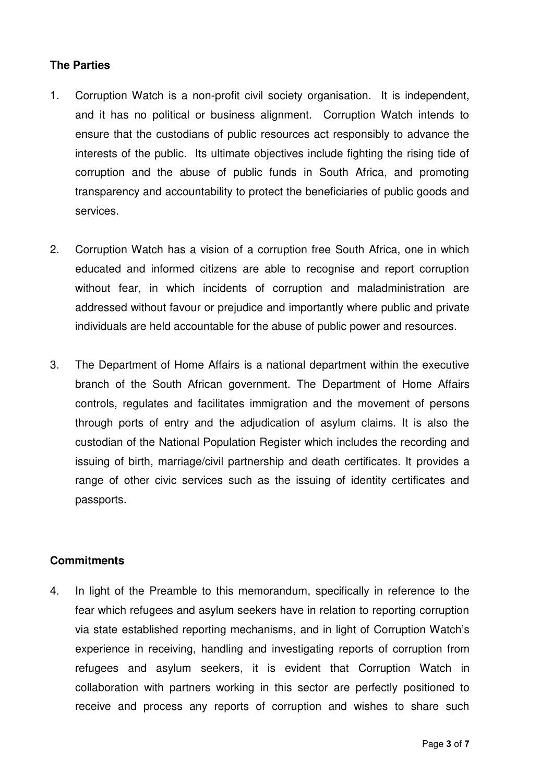## **The Parties**

- 1. Corruption Watch is a non-profit civil society organisation. It is independent, and it has no political or business alignment. Corruption Watch intends to ensure that the custodians of public resources act responsibly to advance the interests of the public. Its ultimate objectives include fighting the rising tide of corruption and the abuse of public funds in South Africa, and promoting transparency and accountability to protect the beneficiaries of public goods and services.
- 2. Corruption Watch has a vision of a corruption free South Africa, one in which educated and informed citizens are able to recognise and report corruption without fear, in which incidents of corruption and maladministration are addressed without favour or prejudice and importantly where public and private individuals are held accountable for the abuse of public power and resources.
- 3. The Department of Home Affairs is a national department within the executive branch of the South African government. The Department of Home Affairs controls, regulates and facilitates immigration and the movement of persons through ports of entry and the adjudication of asylum claims. It is also the custodian of the National Population Register which includes the recording and issuing of birth, marriage/civil partnership and death certificates. It provides a range of other civic services such as the issuing of identity certificates and passports.

#### **Commitments**

4. In light of the Preamble to this memorandum, specifically in reference to the fear which refugees and asylum seekers have in relation to reporting corruption via state established reporting mechanisms, and in light of Corruption Watch's experience in receiving, handling and investigating reports of corruption from refugees and asylum seekers, it is evident that Corruption Watch in collaboration with partners working in this sector are perfectly positioned to receive and process any reports of corruption and wishes to share such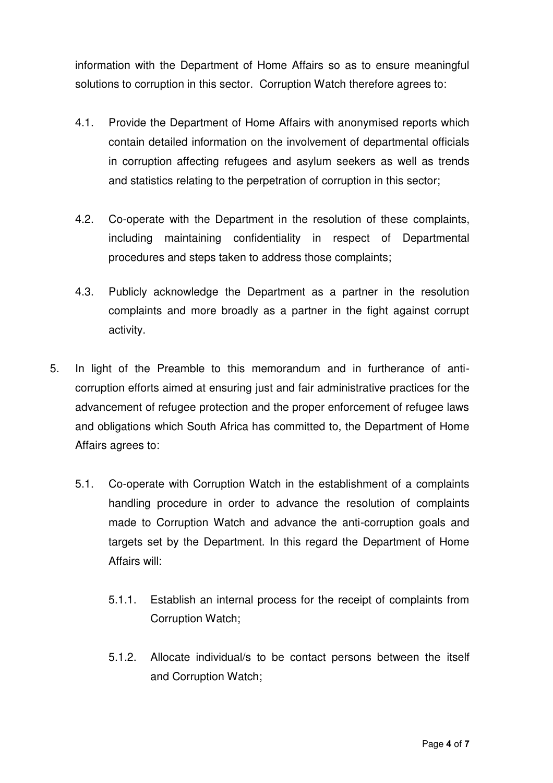information with the Department of Home Affairs so as to ensure meaningful solutions to corruption in this sector. Corruption Watch therefore agrees to:

- 4.1. Provide the Department of Home Affairs with anonymised reports which contain detailed information on the involvement of departmental officials in corruption affecting refugees and asylum seekers as well as trends and statistics relating to the perpetration of corruption in this sector;
- 4.2. Co-operate with the Department in the resolution of these complaints, including maintaining confidentiality in respect of Departmental procedures and steps taken to address those complaints;
- 4.3. Publicly acknowledge the Department as a partner in the resolution complaints and more broadly as a partner in the fight against corrupt activity.
- 5. In light of the Preamble to this memorandum and in furtherance of anticorruption efforts aimed at ensuring just and fair administrative practices for the advancement of refugee protection and the proper enforcement of refugee laws and obligations which South Africa has committed to, the Department of Home Affairs agrees to:
	- 5.1. Co-operate with Corruption Watch in the establishment of a complaints handling procedure in order to advance the resolution of complaints made to Corruption Watch and advance the anti-corruption goals and targets set by the Department. In this regard the Department of Home Affairs will:
		- 5.1.1. Establish an internal process for the receipt of complaints from Corruption Watch;
		- 5.1.2. Allocate individual/s to be contact persons between the itself and Corruption Watch;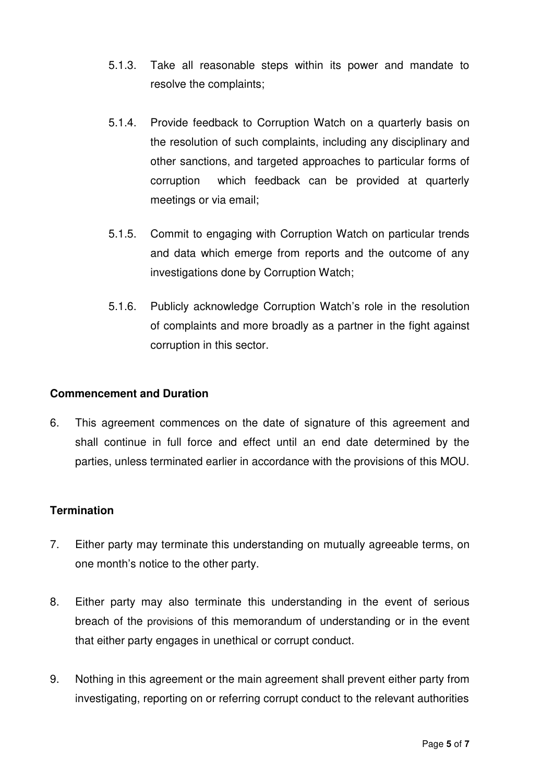- 5.1.3. Take all reasonable steps within its power and mandate to resolve the complaints;
- 5.1.4. Provide feedback to Corruption Watch on a quarterly basis on the resolution of such complaints, including any disciplinary and other sanctions, and targeted approaches to particular forms of corruption which feedback can be provided at quarterly meetings or via email;
- 5.1.5. Commit to engaging with Corruption Watch on particular trends and data which emerge from reports and the outcome of any investigations done by Corruption Watch;
- 5.1.6. Publicly acknowledge Corruption Watch's role in the resolution of complaints and more broadly as a partner in the fight against corruption in this sector.

## **Commencement and Duration**

6. This agreement commences on the date of signature of this agreement and shall continue in full force and effect until an end date determined by the parties, unless terminated earlier in accordance with the provisions of this MOU.

## **Termination**

- 7. Either party may terminate this understanding on mutually agreeable terms, on one month's notice to the other party.
- 8. Either party may also terminate this understanding in the event of serious breach of the provisions of this memorandum of understanding or in the event that either party engages in unethical or corrupt conduct.
- 9. Nothing in this agreement or the main agreement shall prevent either party from investigating, reporting on or referring corrupt conduct to the relevant authorities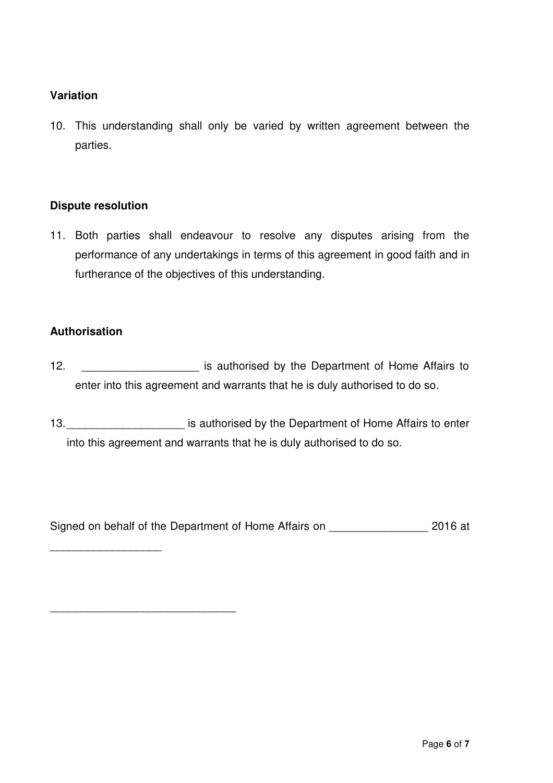## **Variation**

10. This understanding shall only be varied by written agreement between the parties.

### **Dispute resolution**

11. Both parties shall endeavour to resolve any disputes arising from the performance of any undertakings in terms of this agreement in good faith and in furtherance of the objectives of this understanding.

### **Authorisation**

\_\_\_\_\_\_\_\_\_\_\_\_\_\_\_\_\_\_

\_\_\_\_\_\_\_\_\_\_\_\_\_\_\_\_\_\_\_\_\_\_\_\_\_\_\_\_\_\_

- 12. \_\_\_\_\_\_\_\_\_\_\_\_\_\_\_\_\_\_\_\_\_\_\_\_ is authorised by the Department of Home Affairs to enter into this agreement and warrants that he is duly authorised to do so.
- 13. \_\_\_\_\_\_\_\_\_\_\_\_\_\_\_\_\_\_\_\_\_\_\_\_\_ is authorised by the Department of Home Affairs to enter into this agreement and warrants that he is duly authorised to do so.

Signed on behalf of the Department of Home Affairs on \_\_\_\_\_\_\_\_\_\_\_\_\_\_\_\_\_\_\_\_ 2016 at